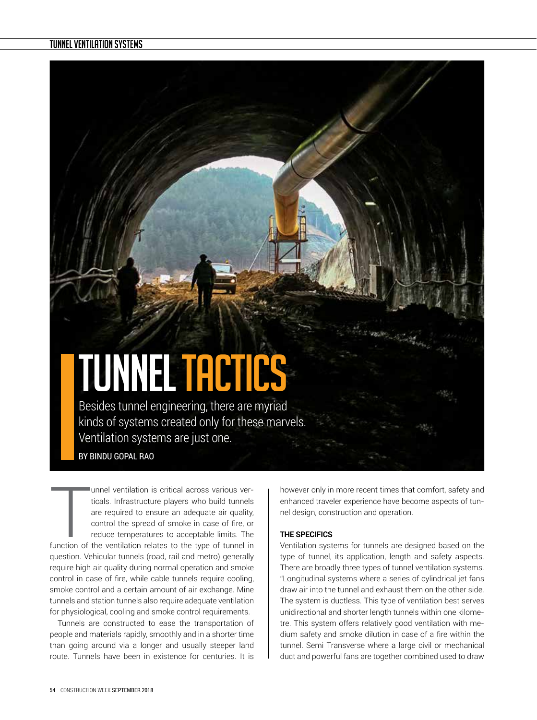# **TUNNEL TACTICS**

Besides tunnel engineering, there are myriad kinds of systems created only for these marvels. Ventilation systems are just one.

BY BINDU GOPAL RAO

unnel ventilation is critical across various verticals. Infrastructure players who build tunnels are required to ensure an adequate air quality, control the spread of smoke in case of fire, or reduce temperatures to accept unnel ventilation is critical across various verticals. Infrastructure players who build tunnels are required to ensure an adequate air quality, control the spread of smoke in case of fire, or reduce temperatures to acceptable limits. The question. Vehicular tunnels (road, rail and metro) generally require high air quality during normal operation and smoke control in case of fire, while cable tunnels require cooling, smoke control and a certain amount of air exchange. Mine tunnels and station tunnels also require adequate ventilation for physiological, cooling and smoke control requirements.

Tunnels are constructed to ease the transportation of people and materials rapidly, smoothly and in a shorter time than going around via a longer and usually steeper land route. Tunnels have been in existence for centuries. It is

however only in more recent times that comfort, safety and enhanced traveler experience have become aspects of tunnel design, construction and operation.

## **THE SPECIFICS**

Ventilation systems for tunnels are designed based on the type of tunnel, its application, length and safety aspects. There are broadly three types of tunnel ventilation systems. "Longitudinal systems where a series of cylindrical jet fans draw air into the tunnel and exhaust them on the other side. The system is ductless. This type of ventilation best serves unidirectional and shorter length tunnels within one kilometre. This system offers relatively good ventilation with medium safety and smoke dilution in case of a fire within the tunnel. Semi Transverse where a large civil or mechanical duct and powerful fans are together combined used to draw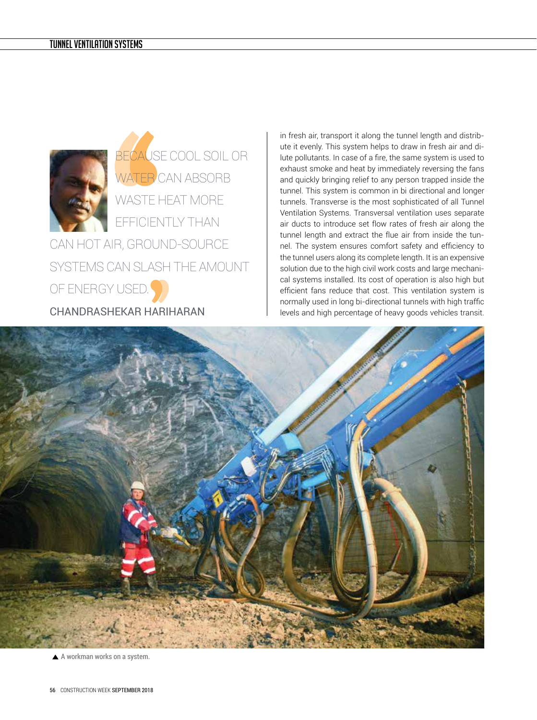

BECAUSE COOL SOIL OR WATER CAN ABSORB WASTE HEAT MORE EFFICIENTLY THAN CAN HOT AIR, GROUND-SOURCE SYSTEMS CAN SLASH THE AMOUNT OF ENERGY USED.

CHANDRASHEKAR HARIHARAN

in fresh air, transport it along the tunnel length and distribute it evenly. This system helps to draw in fresh air and dilute pollutants. In case of a fire, the same system is used to exhaust smoke and heat by immediately reversing the fans and quickly bringing relief to any person trapped inside the tunnel. This system is common in bi directional and longer tunnels. Transverse is the most sophisticated of all Tunnel Ventilation Systems. Transversal ventilation uses separate air ducts to introduce set flow rates of fresh air along the tunnel length and extract the flue air from inside the tunnel. The system ensures comfort safety and efficiency to the tunnel users along its complete length. It is an expensive solution due to the high civil work costs and large mechanical systems installed. Its cost of operation is also high but efficient fans reduce that cost. This ventilation system is normally used in long bi-directional tunnels with high traffic levels and high percentage of heavy goods vehicles transit.



A workman works on a system.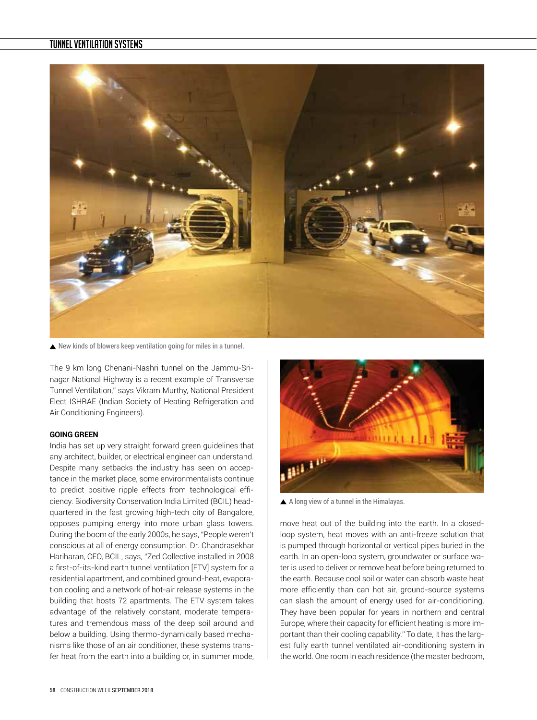

New kinds of blowers keep ventilation going for miles in a tunnel.

The 9 km long Chenani-Nashri tunnel on the Jammu-Srinagar National Highway is a recent example of Transverse Tunnel Ventilation," says Vikram Murthy, National President Elect ISHRAE (Indian Society of Heating Refrigeration and Air Conditioning Engineers).

### **GOING GREEN**

India has set up very straight forward green guidelines that any architect, builder, or electrical engineer can understand. Despite many setbacks the industry has seen on acceptance in the market place, some environmentalists continue to predict positive ripple effects from technological efficiency. Biodiversity Conservation India Limited (BCIL) headquartered in the fast growing high-tech city of Bangalore, opposes pumping energy into more urban glass towers. During the boom of the early 2000s, he says, "People weren't conscious at all of energy consumption. Dr. Chandrasekhar Hariharan, CEO, BCIL, says, "Zed Collective installed in 2008 a first-of-its-kind earth tunnel ventilation [ETV] system for a residential apartment, and combined ground-heat, evaporation cooling and a network of hot-air release systems in the building that hosts 72 apartments. The ETV system takes advantage of the relatively constant, moderate temperatures and tremendous mass of the deep soil around and below a building. Using thermo-dynamically based mechanisms like those of an air conditioner, these systems transfer heat from the earth into a building or, in summer mode,



A long view of a tunnel in the Himalayas.

move heat out of the building into the earth. In a closedloop system, heat moves with an anti-freeze solution that is pumped through horizontal or vertical pipes buried in the earth. In an open-loop system, groundwater or surface water is used to deliver or remove heat before being returned to the earth. Because cool soil or water can absorb waste heat more efficiently than can hot air, ground-source systems can slash the amount of energy used for air-conditioning. They have been popular for years in northern and central Europe, where their capacity for efficient heating is more important than their cooling capability." To date, it has the largest fully earth tunnel ventilated air-conditioning system in the world. One room in each residence (the master bedroom,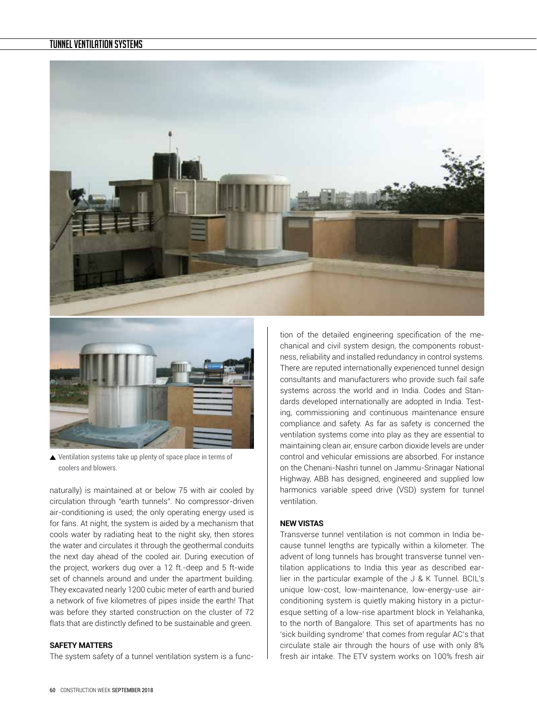



▲ Ventilation systems take up plenty of space place in terms of coolers and blowers.

naturally) is maintained at or below 75 with air cooled by circulation through "earth tunnels". No compressor-driven air-conditioning is used; the only operating energy used is for fans. At night, the system is aided by a mechanism that cools water by radiating heat to the night sky, then stores the water and circulates it through the geothermal conduits the next day ahead of the cooled air. During execution of the project, workers dug over a 12 ft.-deep and 5 ft-wide set of channels around and under the apartment building. They excavated nearly 1200 cubic meter of earth and buried a network of five kilometres of pipes inside the earth! That was before they started construction on the cluster of 72 flats that are distinctly defined to be sustainable and green.

#### **SAFETY MATTERS**

The system safety of a tunnel ventilation system is a func-

tion of the detailed engineering specification of the mechanical and civil system design, the components robustness, reliability and installed redundancy in control systems. There are reputed internationally experienced tunnel design consultants and manufacturers who provide such fail safe systems across the world and in India. Codes and Standards developed internationally are adopted in India. Testing, commissioning and continuous maintenance ensure compliance and safety. As far as safety is concerned the ventilation systems come into play as they are essential to maintaining clean air, ensure carbon dioxide levels are under control and vehicular emissions are absorbed. For instance on the Chenani-Nashri tunnel on Jammu-Srinagar National Highway, ABB has designed, engineered and supplied low harmonics variable speed drive (VSD) system for tunnel ventilation.

## **NEW VISTAS**

Transverse tunnel ventilation is not common in India because tunnel lengths are typically within a kilometer. The advent of long tunnels has brought transverse tunnel ventilation applications to India this year as described earlier in the particular example of the J & K Tunnel. BCIL's unique low-cost, low-maintenance, low-energy-use airconditioning system is quietly making history in a picturesque setting of a low-rise apartment block in Yelahanka, to the north of Bangalore. This set of apartments has no 'sick building syndrome' that comes from regular AC's that circulate stale air through the hours of use with only 8% fresh air intake. The ETV system works on 100% fresh air